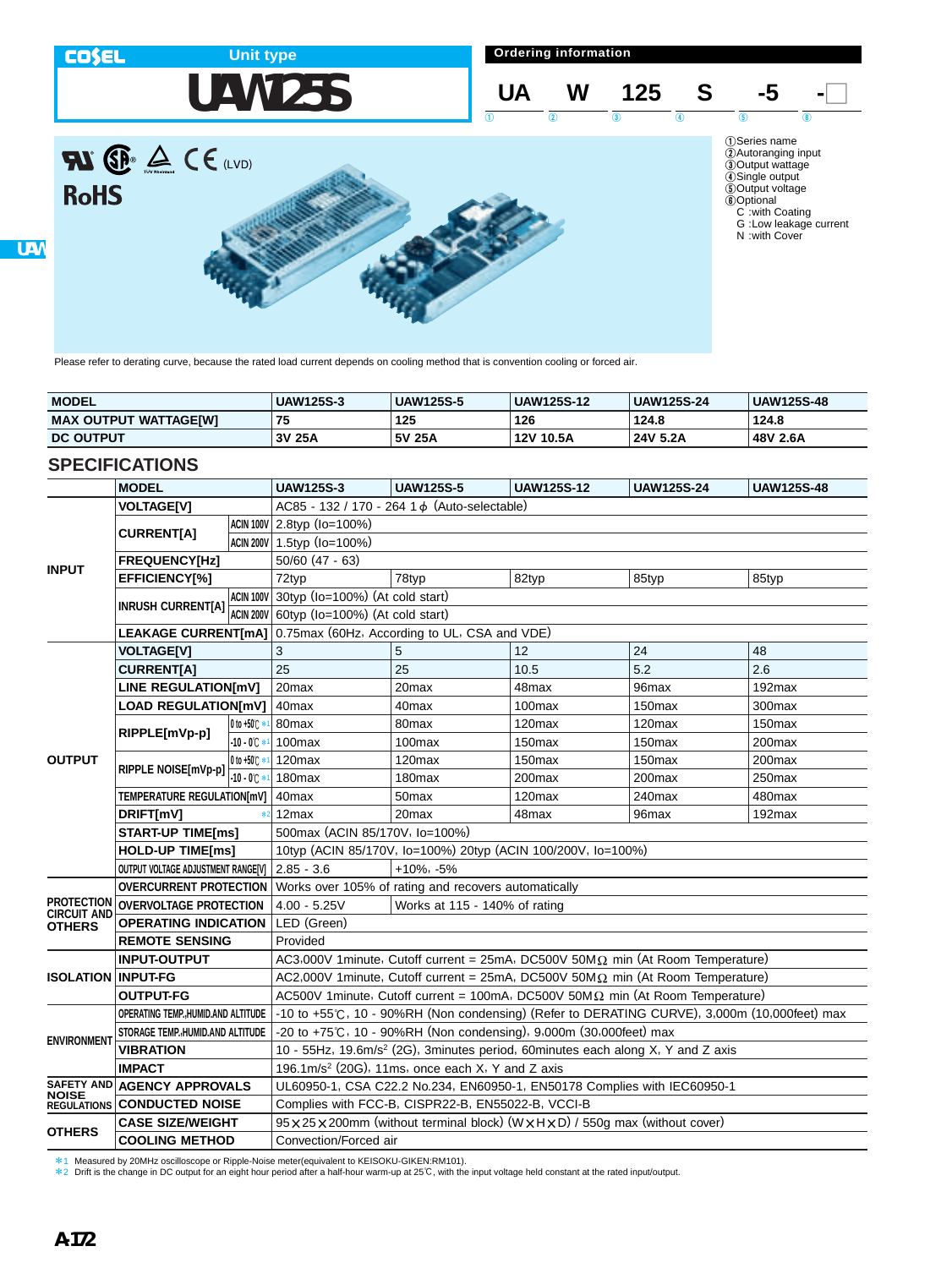

Please refer to derating curve, because the rated load current depends on cooling method that is convention cooling or forced air.

| <b>MODEL</b>                 | <b>UAW125S-3</b> | <b>UAW125S-5</b> | <b>UAW125S-12</b> | <b>UAW125S-24</b> | <b>UAW125S-48</b> |
|------------------------------|------------------|------------------|-------------------|-------------------|-------------------|
| <b>MAX OUTPUT WATTAGE[W]</b> |                  | 125              | 126               | 124.8             | 124.8             |
| <b>DC OUTPUT</b>             | 3V 25A           | 5V 25A           | 12V 10.5A         | 24V 5.2A          | 48V 2.6A          |

# **SPECIFICATIONS**

|                           | <b>MODEL</b>                                                                  |                   | <b>UAW125S-3</b>                                                                             | <b>UAW125S-5</b>   | <b>UAW125S-12</b>  | <b>UAW125S-24</b>  | <b>UAW125S-48</b>  |  |  |
|---------------------------|-------------------------------------------------------------------------------|-------------------|----------------------------------------------------------------------------------------------|--------------------|--------------------|--------------------|--------------------|--|--|
|                           | <b>VOLTAGE[V]</b>                                                             |                   | AC85 - 132 / 170 - 264 1 d (Auto-selectable)                                                 |                    |                    |                    |                    |  |  |
| <b>INPUT</b>              |                                                                               |                   | ACIN 100V 2.8typ (Io=100%)                                                                   |                    |                    |                    |                    |  |  |
|                           | <b>CURRENTIA1</b>                                                             |                   | ACIN 200V 1.5typ (Io=100%)                                                                   |                    |                    |                    |                    |  |  |
|                           | FREQUENCY[Hz]                                                                 |                   | $50/60$ (47 - 63)                                                                            |                    |                    |                    |                    |  |  |
|                           | <b>EFFICIENCY[%]</b>                                                          |                   | 72typ                                                                                        | 78typ              | 82typ              | 85typ              | 85typ              |  |  |
|                           | <b>INRUSH CURRENT[A]</b>                                                      |                   | ACIN 100V 30typ (Io=100%) (At cold start)                                                    |                    |                    |                    |                    |  |  |
|                           |                                                                               |                   | ACIN 200V 60typ (Io=100%) (At cold start)                                                    |                    |                    |                    |                    |  |  |
|                           |                                                                               |                   | LEAKAGE CURRENT[mA] 0.75max (60Hz, According to UL, CSA and VDE)                             |                    |                    |                    |                    |  |  |
|                           | <b>VOLTAGE[V]</b>                                                             |                   | 3                                                                                            | 5                  | 12                 | 24                 | 48                 |  |  |
|                           | <b>CURRENTIA1</b>                                                             |                   | 25                                                                                           | 25                 | 10.5               | 5.2                | 2.6                |  |  |
|                           | LINE REGULATION[mV]                                                           |                   | 20 <sub>max</sub>                                                                            | 20 <sub>max</sub>  | 48max              | 96 <sub>max</sub>  | 192max             |  |  |
|                           | <b>LOAD REGULATION[mV]</b>                                                    |                   | 40 <sub>max</sub>                                                                            | 40max              | 100max             | 150 <sub>max</sub> | 300max             |  |  |
|                           | RIPPLE[mVp-p]                                                                 | 0 to +50 C *      | 80 <sub>max</sub>                                                                            | 80max              | $120$ max          | 120 <sub>max</sub> | 150 <sub>max</sub> |  |  |
|                           |                                                                               | $-10 - 0^{\circ}$ | 100 <sub>max</sub>                                                                           | 100 <sub>max</sub> | 150 <sub>max</sub> | 150 <sub>max</sub> | 200 <sub>max</sub> |  |  |
| <b>OUTPUT</b>             | RIPPLE NOISE[mVp-p]                                                           | 0 to +50 C *      | 120 <sub>max</sub>                                                                           | 120 <sub>max</sub> | 150 <sub>max</sub> | 150 <sub>max</sub> | 200 <sub>max</sub> |  |  |
|                           |                                                                               | $-10 - 0^{\circ}$ | 180 <sub>max</sub>                                                                           | 180 <sub>max</sub> | 200max             | 200max             | 250max             |  |  |
|                           | TEMPERATURE REGULATION[mV]                                                    |                   | 40 <sub>max</sub>                                                                            | 50 <sub>max</sub>  | 120 <sub>max</sub> | 240max             | 480max             |  |  |
|                           | DRIFT[mV]                                                                     |                   | 12 <sub>max</sub>                                                                            | 20max              | 48max              | 96 <sub>max</sub>  | 192 <sub>max</sub> |  |  |
|                           | <b>START-UP TIME[ms]</b>                                                      |                   | 500max (ACIN 85/170V, lo=100%)                                                               |                    |                    |                    |                    |  |  |
|                           | <b>HOLD-UP TIME[ms]</b>                                                       |                   | 10typ (ACIN 85/170V, Io=100%) 20typ (ACIN 100/200V, Io=100%)                                 |                    |                    |                    |                    |  |  |
|                           | OUTPUT VOLTAGE ADJUSTMENT RANGE[V]                                            |                   | $2.85 - 3.6$<br>$+10\%$ , $-5\%$                                                             |                    |                    |                    |                    |  |  |
|                           | <b>OVERCURRENT PROTECTION</b>                                                 |                   | Works over 105% of rating and recovers automatically                                         |                    |                    |                    |                    |  |  |
| <b>IRCUIT AND</b>         | <b>PROTECTION OVERVOLTAGE PROTECTION</b>                                      |                   | Works at 115 - 140% of rating<br>$4.00 - 5.25V$                                              |                    |                    |                    |                    |  |  |
| <b>OTHERS</b>             | <b>OPERATING INDICATION</b>                                                   |                   | LED (Green)                                                                                  |                    |                    |                    |                    |  |  |
|                           | <b>REMOTE SENSING</b>                                                         |                   | Provided                                                                                     |                    |                    |                    |                    |  |  |
|                           | <b>INPUT-OUTPUT</b>                                                           |                   | AC3,000V 1minute, Cutoff current = 25mA, DC500V 50MΩ min (At Room Temperature)               |                    |                    |                    |                    |  |  |
| <b>ISOLATION INPUT-FG</b> |                                                                               |                   | AC2,000V 1minute, Cutoff current = 25mA, DC500V 50MΩ min (At Room Temperature)               |                    |                    |                    |                    |  |  |
|                           | <b>OUTPUT-FG</b>                                                              |                   | AC500V 1minute, Cutoff current = 100mA, DC500V 50M $\Omega$ min (At Room Temperature)        |                    |                    |                    |                    |  |  |
|                           | OPERATING TEMP., HUMID.AND ALTITUDE                                           |                   | -10 to +55°C, 10 - 90%RH (Non condensing) (Refer to DERATING CURVE), 3,000m (10,000feet) max |                    |                    |                    |                    |  |  |
| <b>ENVIRONMENT</b>        | STORAGE TEMP., HUMID.AND ALTITUDE                                             |                   | -20 to +75°C, 10 - 90%RH (Non condensing), 9,000m (30,000feet) max                           |                    |                    |                    |                    |  |  |
|                           | <b>VIBRATION</b>                                                              |                   | 10 - 55Hz, 19.6m/s <sup>2</sup> (2G), 3minutes period, 60minutes each along X, Y and Z axis  |                    |                    |                    |                    |  |  |
|                           | <b>IMPACT</b><br>196.1m/s <sup>2</sup> (20G), 11ms, once each X, Y and Z axis |                   |                                                                                              |                    |                    |                    |                    |  |  |
| NOISE                     | SAFETY AND AGENCY APPROVALS                                                   |                   | UL60950-1, CSA C22.2 No.234, EN60950-1, EN50178 Complies with IEC60950-1                     |                    |                    |                    |                    |  |  |
|                           | <b>REGULATIONS CONDUCTED NOISE</b>                                            |                   | Complies with FCC-B, CISPR22-B, EN55022-B, VCCI-B                                            |                    |                    |                    |                    |  |  |
| <b>OTHERS</b>             | <b>CASE SIZE/WEIGHT</b>                                                       |                   | 95 x 25 x 200mm (without terminal block) (W x H x D) / 550g max (without cover)              |                    |                    |                    |                    |  |  |
|                           | <b>COOLING METHOD</b>                                                         |                   | Convection/Forced air                                                                        |                    |                    |                    |                    |  |  |

\*1 Measured by 20MHz oscilloscope or Ripple-Noise meter(equivalent to KEISOKU-GIKEN:RM101).

\*2 Drift is the change in DC output for an eight hour period after a half-hour warm-up at 25C, with the input voltage held constant at the rated input/output.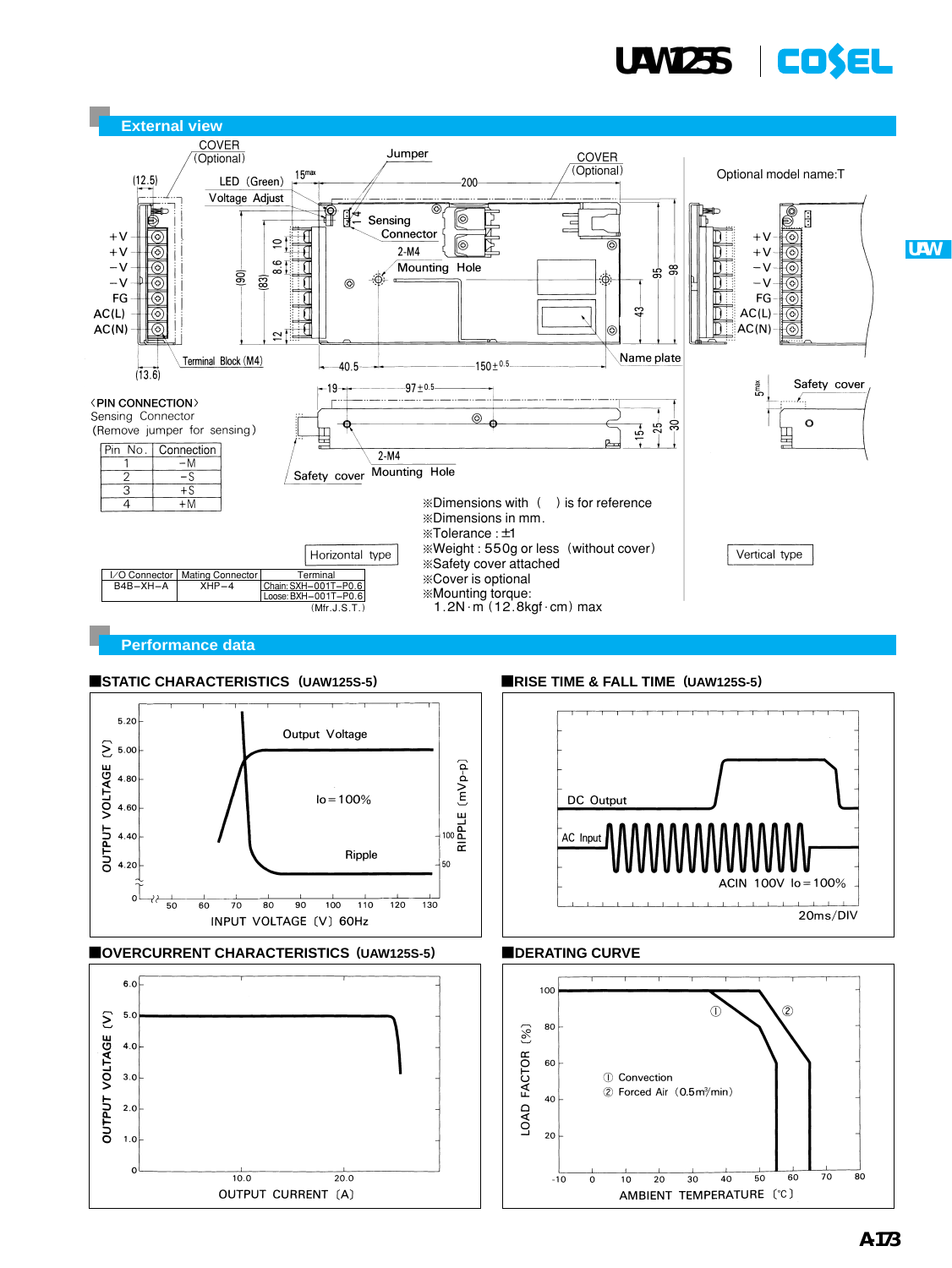

**UAW**



**Performance data**



### ¡**OVERCURRENT CHARACTERISTICS (UAW125S-5)**



## ■STATIC CHARACTERISTICS (UAW125S-5) ■RISE TIME & FALL TIME (UAW125S-5)



## **EDERATING CURVE**

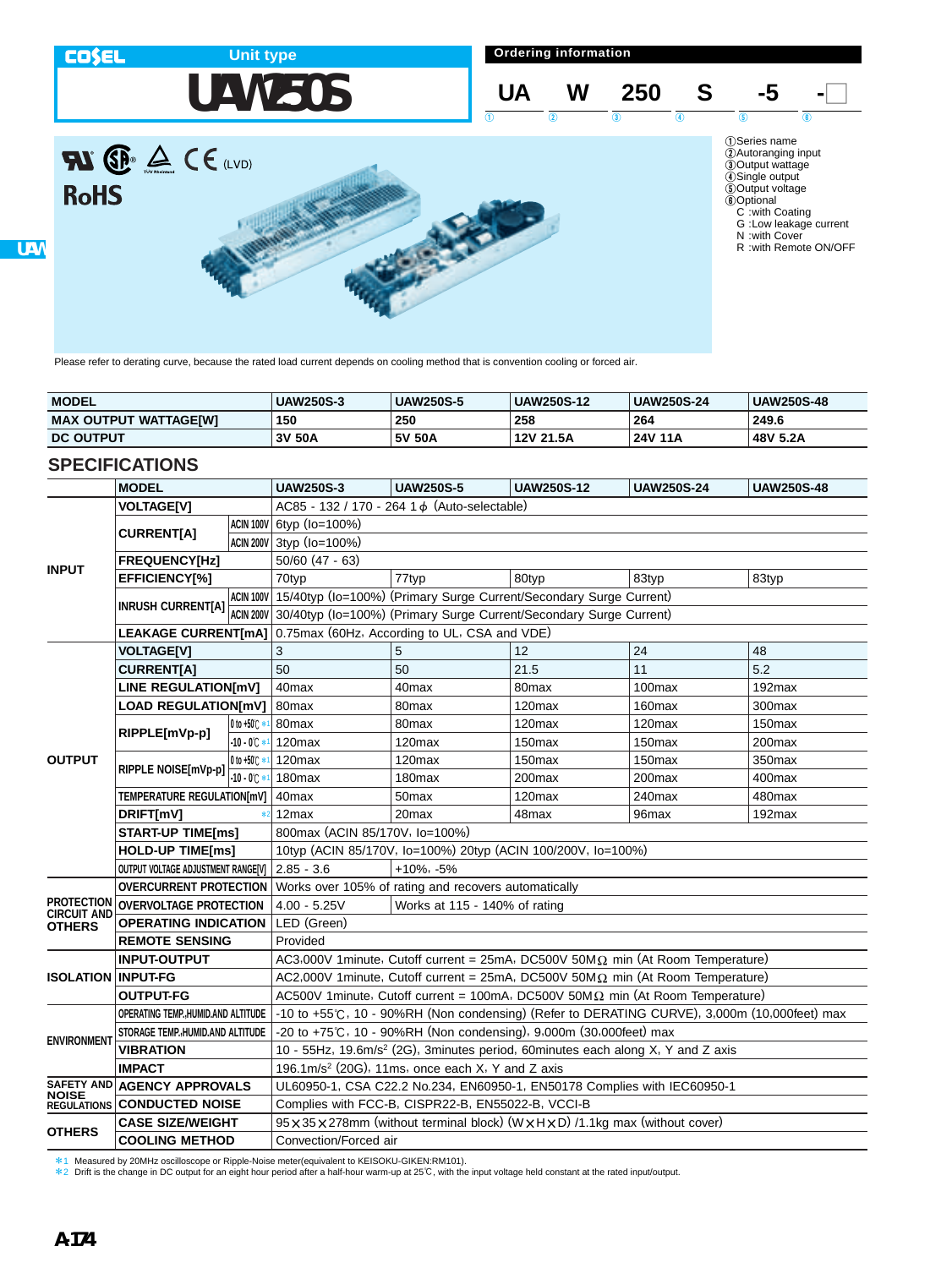

Please refer to derating curve, because the rated load current depends on cooling method that is convention cooling or forced air.

| <b>MODEL</b>                 | <b>UAW250S-3</b> | <b>UAW250S-5</b> | <b>UAW250S-12</b> | <b>UAW250S-24</b> | <b>UAW250S-48</b> |
|------------------------------|------------------|------------------|-------------------|-------------------|-------------------|
| <b>MAX OUTPUT WATTAGE[W]</b> | 150              | 250              | 258               | 264               | 249.6             |
| <b>DC OUTPUT</b>             | 3V<br>50A        | 5V 50A           | 12V 21.5A         | 24V 11A           | 48V 5.2A          |

# **SPECIFICATIONS**

|                            | <b>MODEL</b>                                                                  |                      | <b>UAW250S-3</b>                                                                                           | <b>UAW250S-5</b>                                                             | <b>UAW250S-12</b>  | <b>UAW250S-24</b>  | <b>UAW250S-48</b>  |  |  |
|----------------------------|-------------------------------------------------------------------------------|----------------------|------------------------------------------------------------------------------------------------------------|------------------------------------------------------------------------------|--------------------|--------------------|--------------------|--|--|
|                            | <b>VOLTAGE[V]</b>                                                             |                      | AC85 - 132 / 170 - 264 1 $\phi$ (Auto-selectable)                                                          |                                                                              |                    |                    |                    |  |  |
| <b>INPUT</b>               |                                                                               |                      | ACIN 100V 6typ (Io=100%)                                                                                   |                                                                              |                    |                    |                    |  |  |
|                            | <b>CURRENTIA1</b>                                                             |                      | ACIN 200V 3typ (Io=100%)                                                                                   |                                                                              |                    |                    |                    |  |  |
|                            | <b>FREQUENCY[Hz]</b>                                                          |                      | $50/60$ (47 - 63)                                                                                          |                                                                              |                    |                    |                    |  |  |
|                            | EFFICIENCY[%]                                                                 |                      | 70typ                                                                                                      | 77typ                                                                        | 80typ              | 83typ              | 83typ              |  |  |
|                            | <b>INRUSH CURRENTIA1</b>                                                      |                      |                                                                                                            | ACIN 100V 15/40typ (Io=100%) (Primary Surge Current/Secondary Surge Current) |                    |                    |                    |  |  |
|                            |                                                                               |                      |                                                                                                            | ACIN 200V 30/40typ (Io=100%) (Primary Surge Current/Secondary Surge Current) |                    |                    |                    |  |  |
|                            |                                                                               |                      | LEAKAGE CURRENT[mA] 0.75max (60Hz, According to UL, CSA and VDE)                                           |                                                                              |                    |                    |                    |  |  |
|                            | <b>VOLTAGE[V]</b>                                                             |                      | 3                                                                                                          | 5                                                                            | 12                 | 24                 | 48                 |  |  |
|                            | <b>CURRENT[A]</b>                                                             |                      | 50                                                                                                         | 50                                                                           | 21.5               | 11                 | 5.2                |  |  |
|                            | <b>LINE REGULATION[mV]</b>                                                    |                      | 40 <sub>max</sub>                                                                                          | 40max                                                                        | 80 <sub>max</sub>  | 100 <sub>max</sub> | 192max             |  |  |
|                            | <b>LOAD REGULATION[mV]</b>                                                    |                      | 80 <sub>max</sub>                                                                                          | 80 <sub>max</sub>                                                            | 120 <sub>max</sub> | 160 <sub>max</sub> | 300 <sub>max</sub> |  |  |
|                            | RIPPLE[mVp-p]                                                                 | 0 to +50 C *         | 80max                                                                                                      | 80 <sub>max</sub>                                                            | 120 <sub>max</sub> | 120max             | 150 <sub>max</sub> |  |  |
|                            |                                                                               | $-10 - 0^{\circ}$    | 120 <sub>max</sub>                                                                                         | 120 <sub>max</sub>                                                           | 150 <sub>max</sub> | 150 <sub>max</sub> | 200max             |  |  |
| <b>OUTPUT</b>              | RIPPLE NOISE[mVp-p]                                                           | 0 to +50 $\circ$ $*$ | 120max                                                                                                     | 120 <sub>max</sub>                                                           | 150 <sub>max</sub> | 150 <sub>max</sub> | 350max             |  |  |
|                            |                                                                               | $-10 - 0$ °C*        | 180max                                                                                                     | 180 <sub>max</sub>                                                           | 200max             | 200max             | 400max             |  |  |
|                            | TEMPERATURE REGULATION[mV]                                                    |                      | 40max                                                                                                      | 50 <sub>max</sub>                                                            | 120 <sub>max</sub> | 240max             | 480max             |  |  |
|                            | <b>DRIFT[mV]</b>                                                              |                      | 12 <sub>max</sub>                                                                                          | 20max                                                                        | 48max              | 96max              | 192max             |  |  |
|                            | <b>START-UP TIME[ms]</b>                                                      |                      | 800max (ACIN 85/170V, lo=100%)                                                                             |                                                                              |                    |                    |                    |  |  |
|                            | <b>HOLD-UP TIME[ms]</b>                                                       |                      | 10typ (ACIN 85/170V, Io=100%) 20typ (ACIN 100/200V, Io=100%)                                               |                                                                              |                    |                    |                    |  |  |
|                            | OUTPUT VOLTAGE ADJUSTMENT RANGE[V]                                            |                      | $2.85 - 3.6$<br>$+10\%$ , $-5\%$                                                                           |                                                                              |                    |                    |                    |  |  |
|                            | <b>OVERCURRENT PROTECTION</b>                                                 |                      |                                                                                                            | Works over 105% of rating and recovers automatically                         |                    |                    |                    |  |  |
| CIRCUIT AND                | <b>PROTECTION OVERVOLTAGE PROTECTION</b>                                      |                      | $4.00 - 5.25V$<br>Works at 115 - 140% of rating                                                            |                                                                              |                    |                    |                    |  |  |
| OTHERS                     | <b>OPERATING INDICATION</b>                                                   |                      | LED (Green)                                                                                                |                                                                              |                    |                    |                    |  |  |
|                            | <b>REMOTE SENSING</b>                                                         |                      | Provided                                                                                                   |                                                                              |                    |                    |                    |  |  |
|                            | <b>INPUT-OUTPUT</b>                                                           |                      | AC3,000V 1minute, Cutoff current = $25mA$ , DC500V 50M $\Omega$ min (At Room Temperature)                  |                                                                              |                    |                    |                    |  |  |
|                            | <b>ISOLATION INPUT-FG</b>                                                     |                      | AC2,000V 1minute, Cutoff current = 25mA, DC500V 50M $\Omega$ min (At Room Temperature)                     |                                                                              |                    |                    |                    |  |  |
|                            | <b>OUTPUT-FG</b>                                                              |                      | AC500V 1minute, Cutoff current = 100mA, DC500V 50M $\Omega$ min (At Room Temperature)                      |                                                                              |                    |                    |                    |  |  |
|                            | OPERATING TEMP., HUMID.AND ALTITUDE                                           |                      | -10 to +55°C, 10 - 90%RH (Non condensing) (Refer to DERATING CURVE), 3,000m (10,000feet) max               |                                                                              |                    |                    |                    |  |  |
| <b>ENVIRONMENT</b>         | STORAGE TEMP., HUMID.AND ALTITUDE                                             |                      | -20 to +75℃, 10 - 90%RH (Non condensing), 9,000m (30,000feet) max                                          |                                                                              |                    |                    |                    |  |  |
|                            | <b>VIBRATION</b>                                                              |                      | 10 - 55Hz, 19.6m/s <sup>2</sup> (2G), 3minutes period, 60minutes each along X, Y and Z axis                |                                                                              |                    |                    |                    |  |  |
|                            | <b>IMPACT</b><br>196.1m/s <sup>2</sup> (20G), 11ms, once each X, Y and Z axis |                      |                                                                                                            |                                                                              |                    |                    |                    |  |  |
| SAFETY AND<br><b>NOISE</b> | <b>AGENCY APPROVALS</b>                                                       |                      | UL60950-1, CSA C22.2 No.234, EN60950-1, EN50178 Complies with IEC60950-1                                   |                                                                              |                    |                    |                    |  |  |
|                            | <b>REGULATIONS CONDUCTED NOISE</b>                                            |                      | Complies with FCC-B, CISPR22-B, EN55022-B, VCCI-B                                                          |                                                                              |                    |                    |                    |  |  |
| <b>OTHERS</b>              | <b>CASE SIZE/WEIGHT</b>                                                       |                      | $95 \times 35 \times 278$ mm (without terminal block) (W $\times$ H $\times$ D) /1.1kg max (without cover) |                                                                              |                    |                    |                    |  |  |
|                            | <b>COOLING METHOD</b>                                                         |                      | Convection/Forced air                                                                                      |                                                                              |                    |                    |                    |  |  |

\*1 Measured by 20MHz oscilloscope or Ripple-Noise meter(equivalent to KEISOKU-GIKEN:RM101).

\*2 Drift is the change in DC output for an eight hour period after a half-hour warm-up at 25C, with the input voltage held constant at the rated input/output.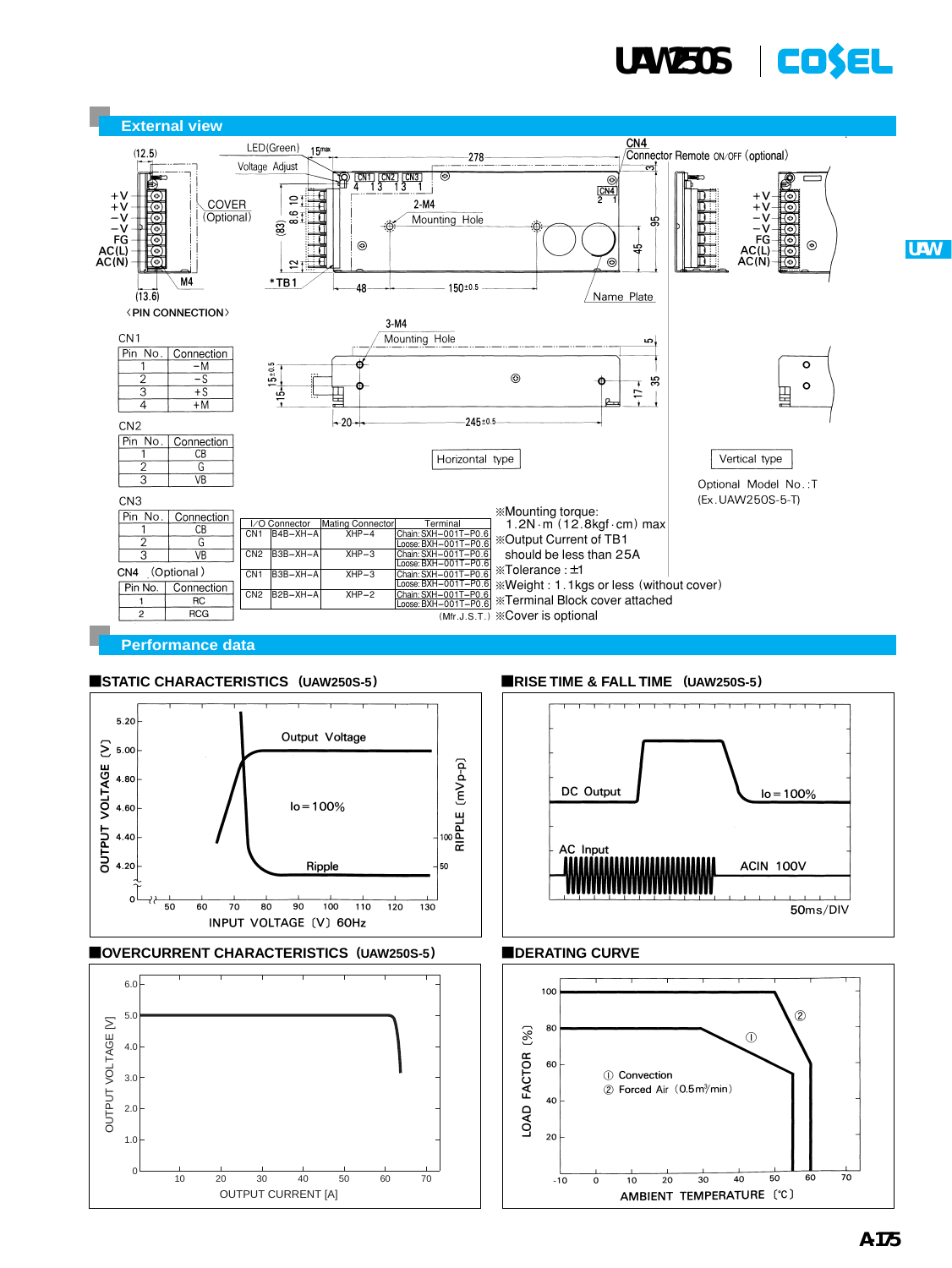

**UAW**



## ■STATIC CHARACTERISTICS (UAW250S-5) ■RISE TIME & FALL TIME (UAW250S-5)



#### ¡**OVERCURRENT CHARACTERISTICS (UAW250S-5)**





## **EDERATING CURVE**

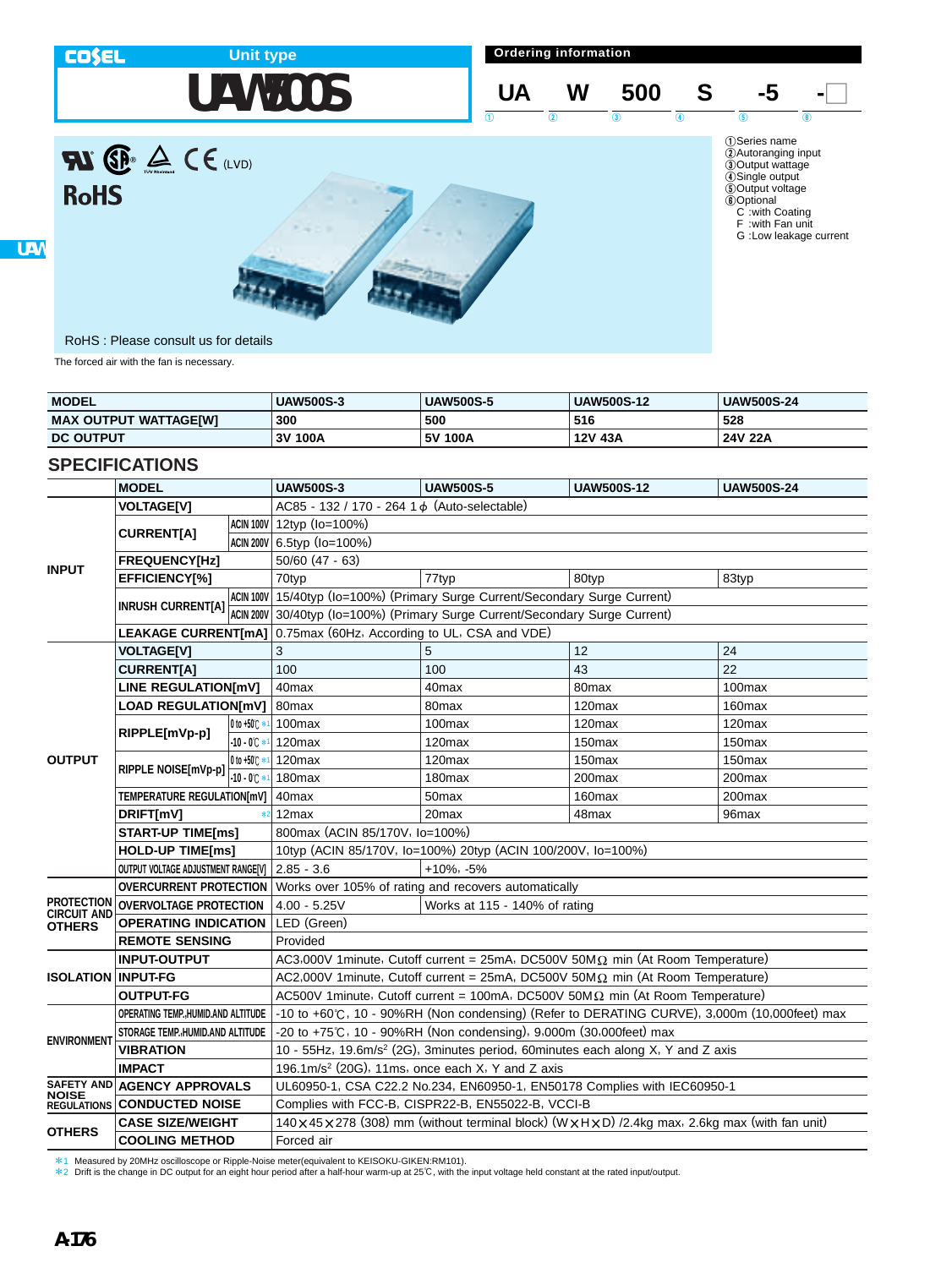

| <b>MODEL</b>                 | <b>UAW500S-3</b> | <b>UAW500S-5</b> | <b>UAW500S-12</b> | <b>UAW500S-24</b> |
|------------------------------|------------------|------------------|-------------------|-------------------|
| <b>MAX OUTPUT WATTAGE[W]</b> | 300              | 500              | 516               | 528               |
| <b>DC OUTPUT</b>             | 100A<br>3V       | 100A<br>. 5V     | 12V 43A           | 24V 22A           |

# **SPECIFICATIONS**

|                           | <b>MODEL</b>                        |                    | <b>UAW500S-3</b>                                                                                   | <b>UAW500S-5</b>                                                             | <b>UAW500S-12</b>  | <b>UAW500S-24</b>  |  |  |  |
|---------------------------|-------------------------------------|--------------------|----------------------------------------------------------------------------------------------------|------------------------------------------------------------------------------|--------------------|--------------------|--|--|--|
|                           | <b>VOLTAGE[V]</b>                   |                    | AC85 - 132 / 170 - 264 1 d (Auto-selectable)                                                       |                                                                              |                    |                    |  |  |  |
| <b>INPUT</b>              |                                     |                    | ACIN 100V 12typ (Io=100%)                                                                          |                                                                              |                    |                    |  |  |  |
|                           | <b>CURRENT[A]</b>                   |                    | ACIN 200V 6.5typ (Io=100%)                                                                         |                                                                              |                    |                    |  |  |  |
|                           | <b>FREQUENCY[Hz]</b>                |                    | $50/60$ (47 - 63)                                                                                  |                                                                              |                    |                    |  |  |  |
|                           | EFFICIENCY[%]                       |                    | 70typ                                                                                              | 77typ                                                                        | 80typ              | 83typ              |  |  |  |
|                           |                                     |                    |                                                                                                    | ACIN 100V 15/40typ (Io=100%) (Primary Surge Current/Secondary Surge Current) |                    |                    |  |  |  |
|                           | <b>INRUSH CURRENT[A]</b>            | ACIN 200V          |                                                                                                    | 30/40typ (Io=100%) (Primary Surge Current/Secondary Surge Current)           |                    |                    |  |  |  |
|                           | <b>LEAKAGE CURRENT[mA]</b>          |                    | 0.75max (60Hz, According to UL, CSA and VDE)                                                       |                                                                              |                    |                    |  |  |  |
|                           | <b>VOLTAGE[V]</b>                   |                    | 3                                                                                                  | 5                                                                            | 12                 | 24                 |  |  |  |
|                           | <b>CURRENTIA1</b>                   |                    | 100                                                                                                | 100                                                                          | 43                 | 22                 |  |  |  |
|                           | <b>LINE REGULATION[mV]</b>          |                    | 40max                                                                                              | 40 <sub>max</sub>                                                            | 80max              | 100max             |  |  |  |
|                           | <b>LOAD REGULATION[mV]</b>          |                    | 80 <sub>max</sub>                                                                                  | 80 <sub>max</sub>                                                            | 120 <sub>max</sub> | 160 <sub>max</sub> |  |  |  |
|                           | RIPPLE[mVp-p]                       | 0 to +50 C *       | 100max                                                                                             | 100max                                                                       | 120max             | 120max             |  |  |  |
|                           |                                     | $-10 - 0^{\circ}C$ | 120max                                                                                             | 120max                                                                       | 150max             | 150max             |  |  |  |
| <b>OUTPUT</b>             | RIPPLE NOISE[mVp-p]                 | 0 to +50℃ *        | 120max                                                                                             | 120max                                                                       | 150max             | 150 <sub>max</sub> |  |  |  |
|                           |                                     | $-10 - 0^{\circ}C$ | 180 <sub>max</sub>                                                                                 | 180 <sub>max</sub>                                                           | 200max             | 200max             |  |  |  |
|                           | <b>TEMPERATURE REGULATION[mV]</b>   |                    | 40max                                                                                              | 50max                                                                        | 160max             | 200max             |  |  |  |
|                           | DRIFT[mV]                           |                    | 12max                                                                                              | 20 <sub>max</sub>                                                            | 48max              | 96max              |  |  |  |
|                           | <b>START-UP TIME[ms]</b>            |                    | 800max (ACIN 85/170V, lo=100%)                                                                     |                                                                              |                    |                    |  |  |  |
|                           | <b>HOLD-UP TIME[ms]</b>             |                    | 10typ (ACIN 85/170V, Io=100%) 20typ (ACIN 100/200V, Io=100%)                                       |                                                                              |                    |                    |  |  |  |
|                           | OUTPUT VOLTAGE ADJUSTMENT RANGE[V]  |                    | $2.85 - 3.6$<br>$+10\%$ , $-5\%$                                                                   |                                                                              |                    |                    |  |  |  |
|                           | <b>OVERCURRENT PROTECTION</b>       |                    | Works over 105% of rating and recovers automatically                                               |                                                                              |                    |                    |  |  |  |
| PROTECTION<br>CIRCUIT AND | <b>OVERVOLTAGE PROTECTION</b>       |                    | $4.00 - 5.25V$<br>Works at 115 - 140% of rating                                                    |                                                                              |                    |                    |  |  |  |
| OTHERS                    | <b>OPERATING INDICATION</b>         |                    | LED (Green)                                                                                        |                                                                              |                    |                    |  |  |  |
|                           | <b>REMOTE SENSING</b>               |                    | Provided                                                                                           |                                                                              |                    |                    |  |  |  |
|                           | <b>INPUT-OUTPUT</b>                 |                    | AC3,000V 1minute, Cutoff current = 25mA, DC500V 50M $\Omega$ min (At Room Temperature)             |                                                                              |                    |                    |  |  |  |
| <b>ISOLATION INPUT-FG</b> |                                     |                    | AC2,000V 1minute, Cutoff current = 25mA, DC500V 50M $\Omega$ min (At Room Temperature)             |                                                                              |                    |                    |  |  |  |
|                           | <b>OUTPUT-FG</b>                    |                    | AC500V 1minute, Cutoff current = 100mA, DC500V 50M $\Omega$ min (At Room Temperature)              |                                                                              |                    |                    |  |  |  |
|                           | OPERATING TEMP., HUMID.AND ALTITUDE |                    | -10 to +60°C, 10 - 90%RH (Non condensing) (Refer to DERATING CURVE), 3,000m (10,000feet) max       |                                                                              |                    |                    |  |  |  |
| <b>ENVIRONMENT</b>        | STORAGE TEMP. HUMID.AND ALTITUDE    |                    | -20 to +75℃, 10 - 90%RH (Non condensing), 9,000m (30,000feet) max                                  |                                                                              |                    |                    |  |  |  |
|                           | <b>VIBRATION</b>                    |                    | 10 - 55Hz, 19.6m/s <sup>2</sup> (2G), 3minutes period, 60minutes each along X, Y and Z axis        |                                                                              |                    |                    |  |  |  |
|                           | <b>IMPACT</b>                       |                    | 196.1m/s <sup>2</sup> (20G), 11ms, once each X, Y and Z axis                                       |                                                                              |                    |                    |  |  |  |
| NOISE                     | SAFETY AND AGENCY APPROVALS         |                    | UL60950-1, CSA C22.2 No.234, EN60950-1, EN50178 Complies with IEC60950-1                           |                                                                              |                    |                    |  |  |  |
|                           | <b>REGULATIONS CONDUCTED NOISE</b>  |                    | Complies with FCC-B, CISPR22-B, EN55022-B, VCCI-B                                                  |                                                                              |                    |                    |  |  |  |
| <b>OTHERS</b>             | <b>CASE SIZE/WEIGHT</b>             |                    | 140 x 45 x 278 (308) mm (without terminal block) (W x H x D) /2.4kg max, 2.6kg max (with fan unit) |                                                                              |                    |                    |  |  |  |
|                           | <b>COOLING METHOD</b>               |                    | Forced air                                                                                         |                                                                              |                    |                    |  |  |  |

\*1 Measured by 20MHz oscilloscope or Ripple-Noise meter(equivalent to KEISOKU-GIKEN:RM101).

\*2 Drift is the change in DC output for an eight hour period after a half-hour warm-up at 25C, with the input voltage held constant at the rated input/output.